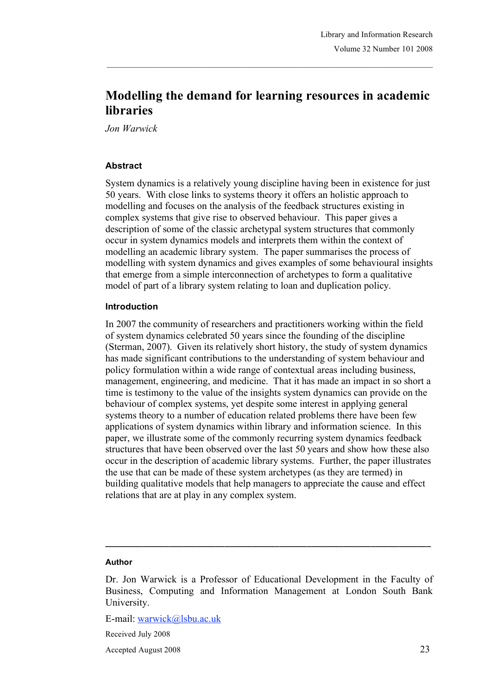# **Modelling the demand for learning resources in academic libraries**

*Jon Warwick*

#### **Abstract**

System dynamics is a relatively young discipline having been in existence for just 50 years. With close links to systems theory it offers an holistic approach to modelling and focuses on the analysis of the feedback structures existing in complex systems that give rise to observed behaviour. This paper gives a description of some of the classic archetypal system structures that commonly occur in system dynamics models and interprets them within the context of modelling an academic library system. The paper summarises the process of modelling with system dynamics and gives examples of some behavioural insights that emerge from a simple interconnection of archetypes to form a qualitative model of part of a library system relating to loan and duplication policy.

#### **Introduction**

In 2007 the community of researchers and practitioners working within the field of system dynamics celebrated 50 years since the founding of the discipline (Sterman, 2007). Given its relatively short history, the study of system dynamics has made significant contributions to the understanding of system behaviour and policy formulation within a wide range of contextual areas including business, management, engineering, and medicine. That it has made an impact in so short a time is testimony to the value of the insights system dynamics can provide on the behaviour of complex systems, yet despite some interest in applying general systems theory to a number of education related problems there have been few applications of system dynamics within library and information science. In this paper, we illustrate some of the commonly recurring system dynamics feedback structures that have been observed over the last 50 years and show how these also occur in the description of academic library systems. Further, the paper illustrates the use that can be made of these system archetypes (as they are termed) in building qualitative models that help managers to appreciate the cause and effect relations that are at play in any complex system.

#### **Author**

**\_\_\_\_\_\_\_\_\_\_\_\_\_\_\_\_\_\_\_\_\_\_\_\_\_\_\_\_\_\_\_\_\_\_\_\_\_\_\_\_\_\_\_\_\_\_\_\_\_\_\_\_\_\_\_\_\_\_\_\_\_\_\_\_\_\_\_\_\_\_\_**

E-mail: warwick@lsbu.ac.uk

Received July 2008

Accepted August 2008 23

Dr. Jon Warwick is a Professor of Educational Development in the Faculty of Business, Computing and Information Management at London South Bank University.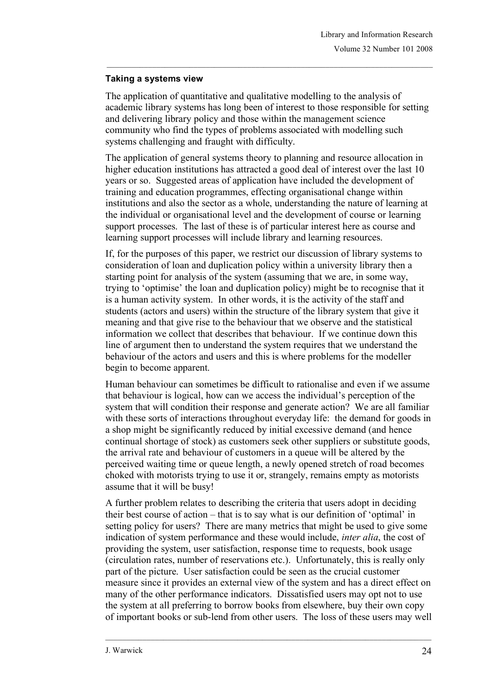## **Taking a systems view**

The application of quantitative and qualitative modelling to the analysis of academic library systems has long been of interest to those responsible for setting and delivering library policy and those within the management science community who find the types of problems associated with modelling such systems challenging and fraught with difficulty.

The application of general systems theory to planning and resource allocation in higher education institutions has attracted a good deal of interest over the last 10 years or so. Suggested areas of application have included the development of training and education programmes, effecting organisational change within institutions and also the sector as a whole, understanding the nature of learning at the individual or organisational level and the development of course or learning support processes. The last of these is of particular interest here as course and learning support processes will include library and learning resources.

If, for the purposes of this paper, we restrict our discussion of library systems to consideration of loan and duplication policy within a university library then a starting point for analysis of the system (assuming that we are, in some way, trying to 'optimise' the loan and duplication policy) might be to recognise that it is a human activity system. In other words, it is the activity of the staff and students (actors and users) within the structure of the library system that give it meaning and that give rise to the behaviour that we observe and the statistical information we collect that describes that behaviour. If we continue down this line of argument then to understand the system requires that we understand the behaviour of the actors and users and this is where problems for the modeller begin to become apparent.

Human behaviour can sometimes be difficult to rationalise and even if we assume that behaviour is logical, how can we access the individual's perception of the system that will condition their response and generate action? We are all familiar with these sorts of interactions throughout everyday life: the demand for goods in a shop might be significantly reduced by initial excessive demand (and hence continual shortage of stock) as customers seek other suppliers or substitute goods, the arrival rate and behaviour of customers in a queue will be altered by the perceived waiting time or queue length, a newly opened stretch of road becomes choked with motorists trying to use it or, strangely, remains empty as motorists assume that it will be busy!

A further problem relates to describing the criteria that users adopt in deciding their best course of action – that is to say what is our definition of 'optimal' in setting policy for users? There are many metrics that might be used to give some indication of system performance and these would include, *inter alia*, the cost of providing the system, user satisfaction, response time to requests, book usage (circulation rates, number of reservations etc.). Unfortunately, this is really only part of the picture. User satisfaction could be seen as the crucial customer measure since it provides an external view of the system and has a direct effect on many of the other performance indicators. Dissatisfied users may opt not to use the system at all preferring to borrow books from elsewhere, buy their own copy of important books or sub-lend from other users. The loss of these users may well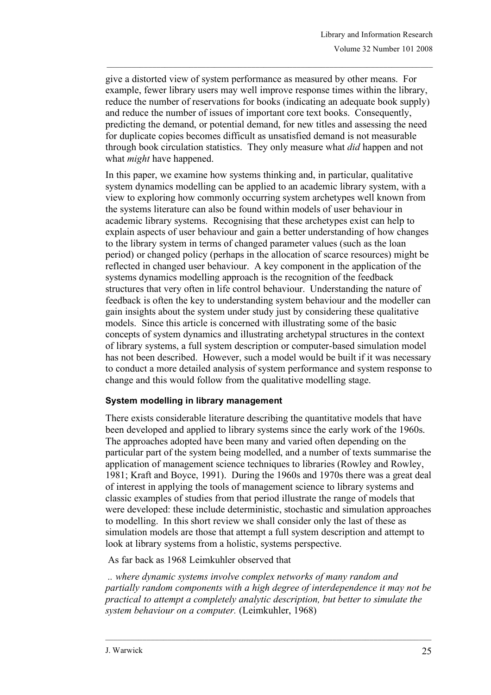give a distorted view of system performance as measured by other means. For example, fewer library users may well improve response times within the library, reduce the number of reservations for books (indicating an adequate book supply) and reduce the number of issues of important core text books. Consequently, predicting the demand, or potential demand, for new titles and assessing the need for duplicate copies becomes difficult as unsatisfied demand is not measurable through book circulation statistics. They only measure what *did* happen and not what *might* have happened.

In this paper, we examine how systems thinking and, in particular, qualitative system dynamics modelling can be applied to an academic library system, with a view to exploring how commonly occurring system archetypes well known from the systems literature can also be found within models of user behaviour in academic library systems. Recognising that these archetypes exist can help to explain aspects of user behaviour and gain a better understanding of how changes to the library system in terms of changed parameter values (such as the loan period) or changed policy (perhaps in the allocation of scarce resources) might be reflected in changed user behaviour. A key component in the application of the systems dynamics modelling approach is the recognition of the feedback structures that very often in life control behaviour. Understanding the nature of feedback is often the key to understanding system behaviour and the modeller can gain insights about the system under study just by considering these qualitative models. Since this article is concerned with illustrating some of the basic concepts of system dynamics and illustrating archetypal structures in the context of library systems, a full system description or computer-based simulation model has not been described. However, such a model would be built if it was necessary to conduct a more detailed analysis of system performance and system response to change and this would follow from the qualitative modelling stage.

### **System modelling in library management**

There exists considerable literature describing the quantitative models that have been developed and applied to library systems since the early work of the 1960s. The approaches adopted have been many and varied often depending on the particular part of the system being modelled, and a number of texts summarise the application of management science techniques to libraries (Rowley and Rowley, 1981; Kraft and Boyce, 1991). During the 1960s and 1970s there was a great deal of interest in applying the tools of management science to library systems and classic examples of studies from that period illustrate the range of models that were developed: these include deterministic, stochastic and simulation approaches to modelling. In this short review we shall consider only the last of these as simulation models are those that attempt a full system description and attempt to look at library systems from a holistic, systems perspective.

As far back as 1968 Leimkuhler observed that

*.. where dynamic systems involve complex networks of many random and partially random components with a high degree of interdependence it may not be practical to attempt a completely analytic description, but better to simulate the system behaviour on a computer.* (Leimkuhler, 1968)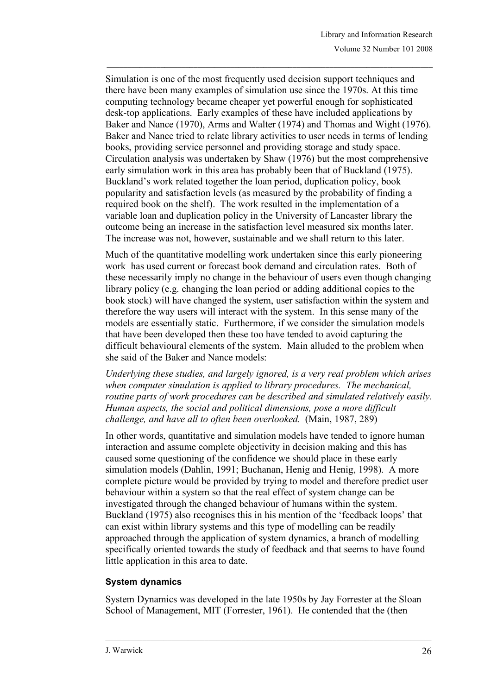Simulation is one of the most frequently used decision support techniques and there have been many examples of simulation use since the 1970s. At this time computing technology became cheaper yet powerful enough for sophisticated desk-top applications. Early examples of these have included applications by Baker and Nance (1970), Arms and Walter (1974) and Thomas and Wight (1976). Baker and Nance tried to relate library activities to user needs in terms of lending books, providing service personnel and providing storage and study space. Circulation analysis was undertaken by Shaw (1976) but the most comprehensive early simulation work in this area has probably been that of Buckland (1975). Buckland's work related together the loan period, duplication policy, book popularity and satisfaction levels (as measured by the probability of finding a required book on the shelf). The work resulted in the implementation of a variable loan and duplication policy in the University of Lancaster library the outcome being an increase in the satisfaction level measured six months later. The increase was not, however, sustainable and we shall return to this later.

Much of the quantitative modelling work undertaken since this early pioneering work has used current or forecast book demand and circulation rates. Both of these necessarily imply no change in the behaviour of users even though changing library policy (e.g. changing the loan period or adding additional copies to the book stock) will have changed the system, user satisfaction within the system and therefore the way users will interact with the system. In this sense many of the models are essentially static. Furthermore, if we consider the simulation models that have been developed then these too have tended to avoid capturing the difficult behavioural elements of the system. Main alluded to the problem when she said of the Baker and Nance models:

*Underlying these studies, and largely ignored, is a very real problem which arises when computer simulation is applied to library procedures. The mechanical, routine parts of work procedures can be described and simulated relatively easily. Human aspects, the social and political dimensions, pose a more difficult challenge, and have all to often been overlooked.* (Main, 1987, 289)

In other words, quantitative and simulation models have tended to ignore human interaction and assume complete objectivity in decision making and this has caused some questioning of the confidence we should place in these early simulation models (Dahlin, 1991; Buchanan, Henig and Henig, 1998). A more complete picture would be provided by trying to model and therefore predict user behaviour within a system so that the real effect of system change can be investigated through the changed behaviour of humans within the system. Buckland (1975) also recognises this in his mention of the 'feedback loops' that can exist within library systems and this type of modelling can be readily approached through the application of system dynamics, a branch of modelling specifically oriented towards the study of feedback and that seems to have found little application in this area to date.

### **System dynamics**

System Dynamics was developed in the late 1950s by Jay Forrester at the Sloan School of Management, MIT (Forrester, 1961). He contended that the (then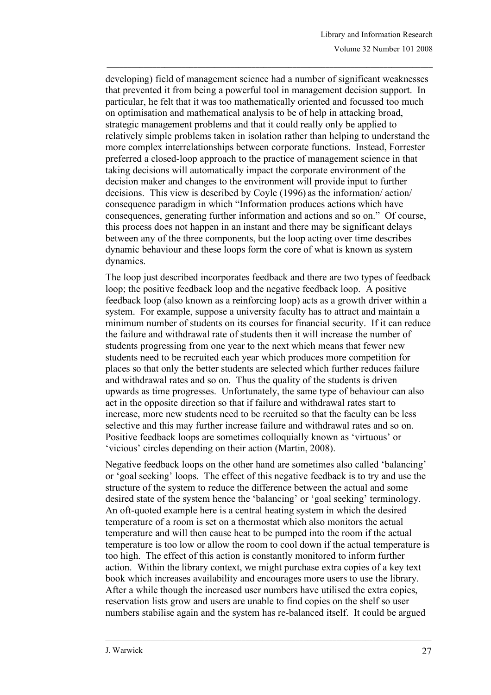developing) field of management science had a number of significant weaknesses that prevented it from being a powerful tool in management decision support. In particular, he felt that it was too mathematically oriented and focussed too much on optimisation and mathematical analysis to be of help in attacking broad, strategic management problems and that it could really only be applied to relatively simple problems taken in isolation rather than helping to understand the more complex interrelationships between corporate functions. Instead, Forrester preferred a closed-loop approach to the practice of management science in that taking decisions will automatically impact the corporate environment of the decision maker and changes to the environment will provide input to further decisions. This view is described by Coyle (1996) as the information/ action/ consequence paradigm in which "Information produces actions which have consequences, generating further information and actions and so on." Of course, this process does not happen in an instant and there may be significant delays between any of the three components, but the loop acting over time describes dynamic behaviour and these loops form the core of what is known as system dynamics.

The loop just described incorporates feedback and there are two types of feedback loop; the positive feedback loop and the negative feedback loop. A positive feedback loop (also known as a reinforcing loop) acts as a growth driver within a system. For example, suppose a university faculty has to attract and maintain a minimum number of students on its courses for financial security. If it can reduce the failure and withdrawal rate of students then it will increase the number of students progressing from one year to the next which means that fewer new students need to be recruited each year which produces more competition for places so that only the better students are selected which further reduces failure and withdrawal rates and so on. Thus the quality of the students is driven upwards as time progresses. Unfortunately, the same type of behaviour can also act in the opposite direction so that if failure and withdrawal rates start to increase, more new students need to be recruited so that the faculty can be less selective and this may further increase failure and withdrawal rates and so on. Positive feedback loops are sometimes colloquially known as 'virtuous' or 'vicious' circles depending on their action (Martin, 2008).

Negative feedback loops on the other hand are sometimes also called 'balancing' or 'goal seeking' loops. The effect of this negative feedback is to try and use the structure of the system to reduce the difference between the actual and some desired state of the system hence the 'balancing' or 'goal seeking' terminology. An oft-quoted example here is a central heating system in which the desired temperature of a room is set on a thermostat which also monitors the actual temperature and will then cause heat to be pumped into the room if the actual temperature is too low or allow the room to cool down if the actual temperature is too high. The effect of this action is constantly monitored to inform further action. Within the library context, we might purchase extra copies of a key text book which increases availability and encourages more users to use the library. After a while though the increased user numbers have utilised the extra copies, reservation lists grow and users are unable to find copies on the shelf so user numbers stabilise again and the system has re-balanced itself. It could be argued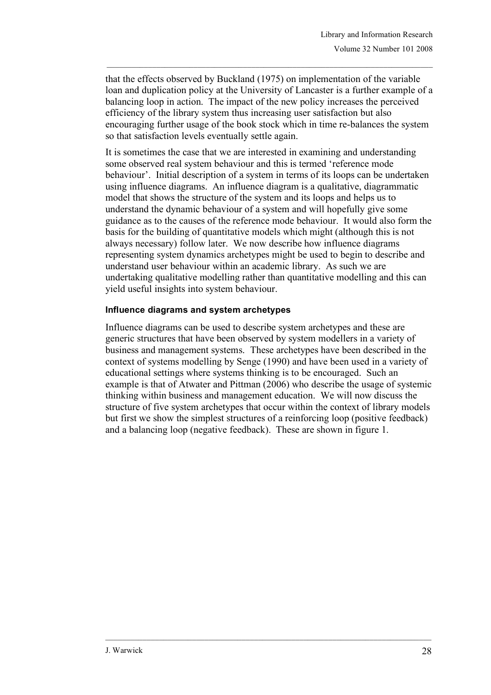that the effects observed by Buckland (1975) on implementation of the variable loan and duplication policy at the University of Lancaster is a further example of a balancing loop in action. The impact of the new policy increases the perceived efficiency of the library system thus increasing user satisfaction but also encouraging further usage of the book stock which in time re-balances the system so that satisfaction levels eventually settle again.

It is sometimes the case that we are interested in examining and understanding some observed real system behaviour and this is termed 'reference mode behaviour'. Initial description of a system in terms of its loops can be undertaken using influence diagrams. An influence diagram is a qualitative, diagrammatic model that shows the structure of the system and its loops and helps us to understand the dynamic behaviour of a system and will hopefully give some guidance as to the causes of the reference mode behaviour. It would also form the basis for the building of quantitative models which might (although this is not always necessary) follow later. We now describe how influence diagrams representing system dynamics archetypes might be used to begin to describe and understand user behaviour within an academic library. As such we are undertaking qualitative modelling rather than quantitative modelling and this can yield useful insights into system behaviour.

### **Influence diagrams and system archetypes**

Influence diagrams can be used to describe system archetypes and these are generic structures that have been observed by system modellers in a variety of business and management systems. These archetypes have been described in the context of systems modelling by Senge (1990) and have been used in a variety of educational settings where systems thinking is to be encouraged. Such an example is that of Atwater and Pittman (2006) who describe the usage of systemic thinking within business and management education. We will now discuss the structure of five system archetypes that occur within the context of library models but first we show the simplest structures of a reinforcing loop (positive feedback) and a balancing loop (negative feedback). These are shown in figure 1.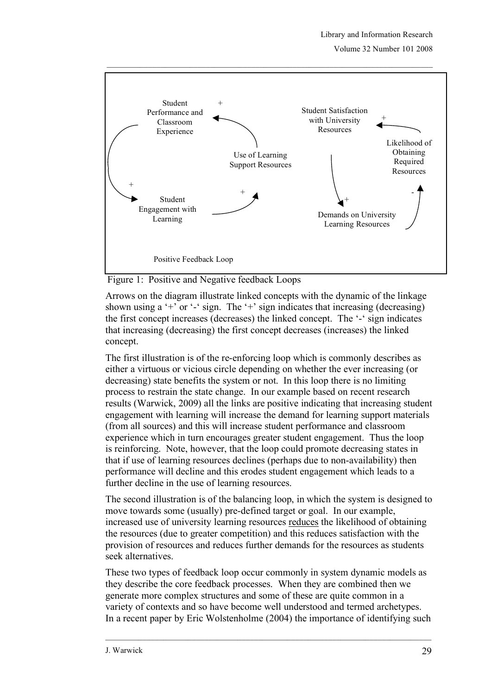Volume 32 Number 101 2008



Figure 1: Positive and Negative feedback Loops

Arrows on the diagram illustrate linked concepts with the dynamic of the linkage shown using a '+' or '-' sign. The '+' sign indicates that increasing (decreasing) the first concept increases (decreases) the linked concept. The '-' sign indicates that increasing (decreasing) the first concept decreases (increases) the linked concept.

The first illustration is of the re-enforcing loop which is commonly describes as either a virtuous or vicious circle depending on whether the ever increasing (or decreasing) state benefits the system or not. In this loop there is no limiting process to restrain the state change. In our example based on recent research results (Warwick, 2009) all the links are positive indicating that increasing student engagement with learning will increase the demand for learning support materials (from all sources) and this will increase student performance and classroom experience which in turn encourages greater student engagement. Thus the loop is reinforcing. Note, however, that the loop could promote decreasing states in that if use of learning resources declines (perhaps due to non-availability) then performance will decline and this erodes student engagement which leads to a further decline in the use of learning resources.

The second illustration is of the balancing loop, in which the system is designed to move towards some (usually) pre-defined target or goal. In our example, increased use of university learning resources reduces the likelihood of obtaining the resources (due to greater competition) and this reduces satisfaction with the provision of resources and reduces further demands for the resources as students seek alternatives.

These two types of feedback loop occur commonly in system dynamic models as they describe the core feedback processes. When they are combined then we generate more complex structures and some of these are quite common in a variety of contexts and so have become well understood and termed archetypes. In a recent paper by Eric Wolstenholme (2004) the importance of identifying such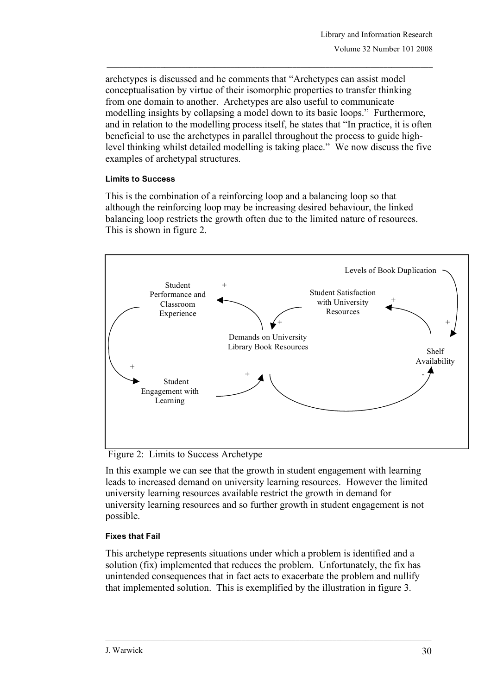archetypes is discussed and he comments that "Archetypes can assist model conceptualisation by virtue of their isomorphic properties to transfer thinking from one domain to another. Archetypes are also useful to communicate modelling insights by collapsing a model down to its basic loops." Furthermore, and in relation to the modelling process itself, he states that "In practice, it is often beneficial to use the archetypes in parallel throughout the process to guide highlevel thinking whilst detailed modelling is taking place." We now discuss the five examples of archetypal structures.

### **Limits to Success**

This is the combination of a reinforcing loop and a balancing loop so that although the reinforcing loop may be increasing desired behaviour, the linked balancing loop restricts the growth often due to the limited nature of resources. This is shown in figure 2.



Figure 2: Limits to Success Archetype

In this example we can see that the growth in student engagement with learning leads to increased demand on university learning resources. However the limited university learning resources available restrict the growth in demand for university learning resources and so further growth in student engagement is not possible.

### **Fixes that Fail**

This archetype represents situations under which a problem is identified and a solution (fix) implemented that reduces the problem. Unfortunately, the fix has unintended consequences that in fact acts to exacerbate the problem and nullify that implemented solution. This is exemplified by the illustration in figure 3.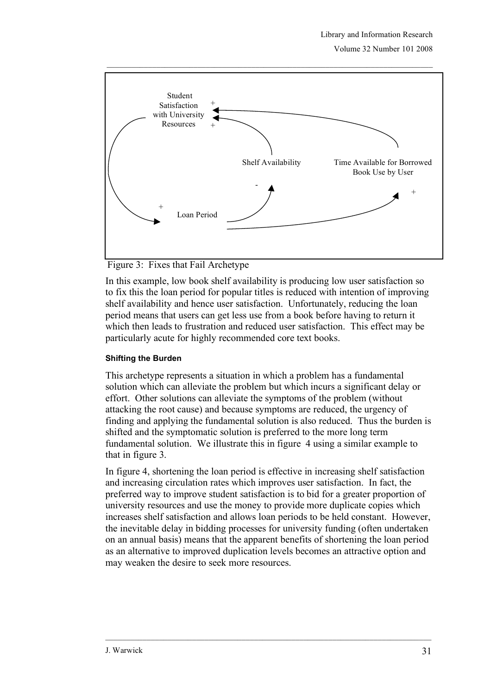Volume 32 Number 101 2008



Figure 3: Fixes that Fail Archetype

In this example, low book shelf availability is producing low user satisfaction so to fix this the loan period for popular titles is reduced with intention of improving shelf availability and hence user satisfaction. Unfortunately, reducing the loan period means that users can get less use from a book before having to return it which then leads to frustration and reduced user satisfaction. This effect may be particularly acute for highly recommended core text books.

### **Shifting the Burden**

This archetype represents a situation in which a problem has a fundamental solution which can alleviate the problem but which incurs a significant delay or effort. Other solutions can alleviate the symptoms of the problem (without attacking the root cause) and because symptoms are reduced, the urgency of finding and applying the fundamental solution is also reduced. Thus the burden is shifted and the symptomatic solution is preferred to the more long term fundamental solution. We illustrate this in figure 4 using a similar example to that in figure 3.

In figure 4, shortening the loan period is effective in increasing shelf satisfaction and increasing circulation rates which improves user satisfaction. In fact, the preferred way to improve student satisfaction is to bid for a greater proportion of university resources and use the money to provide more duplicate copies which increases shelf satisfaction and allows loan periods to be held constant. However, the inevitable delay in bidding processes for university funding (often undertaken on an annual basis) means that the apparent benefits of shortening the loan period as an alternative to improved duplication levels becomes an attractive option and may weaken the desire to seek more resources.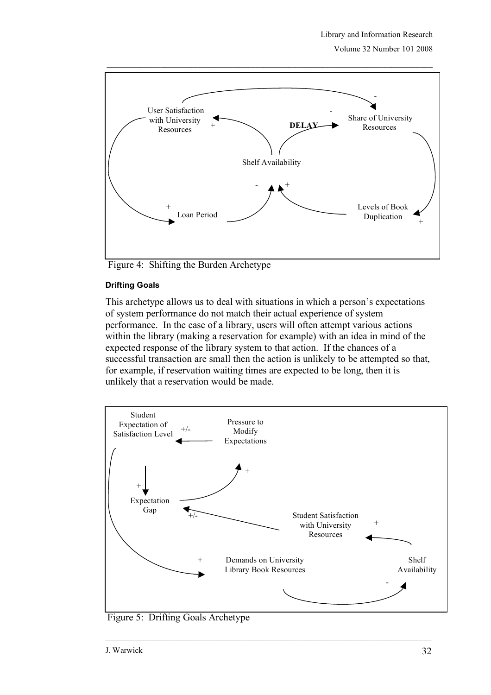Volume 32 Number 101 2008



Figure 4: Shifting the Burden Archetype

### **Drifting Goals**

This archetype allows us to deal with situations in which a person's expectations of system performance do not match their actual experience of system performance. In the case of a library, users will often attempt various actions within the library (making a reservation for example) with an idea in mind of the expected response of the library system to that action. If the chances of a successful transaction are small then the action is unlikely to be attempted so that, for example, if reservation waiting times are expected to be long, then it is unlikely that a reservation would be made.



Figure 5: Drifting Goals Archetype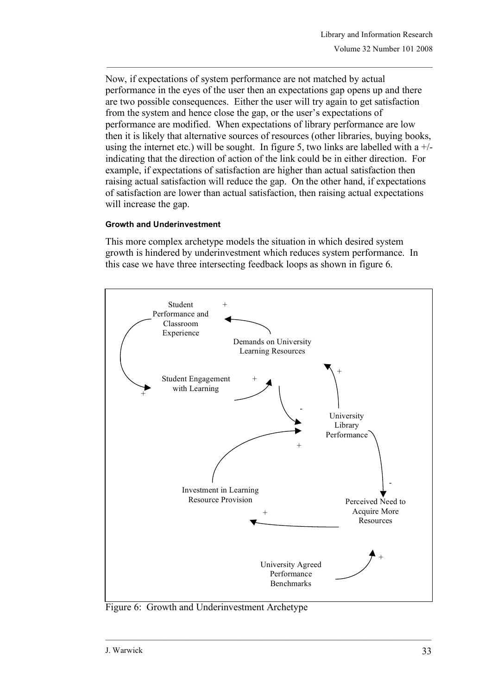Now, if expectations of system performance are not matched by actual performance in the eyes of the user then an expectations gap opens up and there are two possible consequences. Either the user will try again to get satisfaction from the system and hence close the gap, or the user's expectations of performance are modified. When expectations of library performance are low then it is likely that alternative sources of resources (other libraries, buying books, using the internet etc.) will be sought. In figure 5, two links are labelled with a  $+/$ indicating that the direction of action of the link could be in either direction. For example, if expectations of satisfaction are higher than actual satisfaction then raising actual satisfaction will reduce the gap. On the other hand, if expectations of satisfaction are lower than actual satisfaction, then raising actual expectations will increase the gap.

### **Growth and Underinvestment**

This more complex archetype models the situation in which desired system growth is hindered by underinvestment which reduces system performance. In this case we have three intersecting feedback loops as shown in figure 6.



Figure 6: Growth and Underinvestment Archetype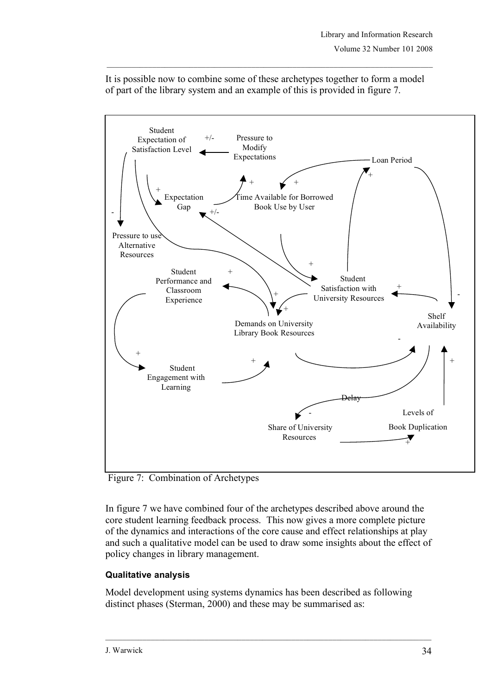

It is possible now to combine some of these archetypes together to form a model of part of the library system and an example of this is provided in figure 7.

Figure 7: Combination of Archetypes

In figure 7 we have combined four of the archetypes described above around the core student learning feedback process. This now gives a more complete picture of the dynamics and interactions of the core cause and effect relationships at play and such a qualitative model can be used to draw some insights about the effect of policy changes in library management.

# **Qualitative analysis**

Model development using systems dynamics has been described as following distinct phases (Sterman, 2000) and these may be summarised as: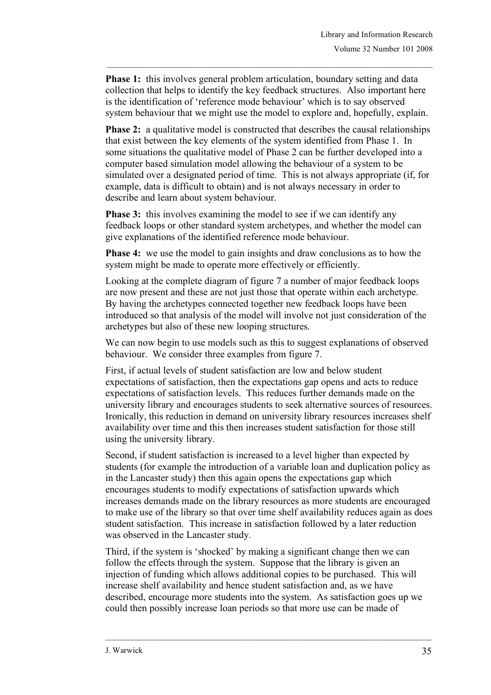**Phase 1:** this involves general problem articulation, boundary setting and data collection that helps to identify the key feedback structures. Also important here is the identification of 'reference mode behaviour' which is to say observed system behaviour that we might use the model to explore and, hopefully, explain.

**Phase 2:** a qualitative model is constructed that describes the causal relationships that exist between the key elements of the system identified from Phase 1. In some situations the qualitative model of Phase 2 can be further developed into a computer based simulation model allowing the behaviour of a system to be simulated over a designated period of time. This is not always appropriate (if, for example, data is difficult to obtain) and is not always necessary in order to describe and learn about system behaviour.

**Phase 3:** this involves examining the model to see if we can identify any feedback loops or other standard system archetypes, and whether the model can give explanations of the identified reference mode behaviour.

**Phase 4:** we use the model to gain insights and draw conclusions as to how the system might be made to operate more effectively or efficiently.

Looking at the complete diagram of figure 7 a number of major feedback loops are now present and these are not just those that operate within each archetype. By having the archetypes connected together new feedback loops have been introduced so that analysis of the model will involve not just consideration of the archetypes but also of these new looping structures.

We can now begin to use models such as this to suggest explanations of observed behaviour. We consider three examples from figure 7.

First, if actual levels of student satisfaction are low and below student expectations of satisfaction, then the expectations gap opens and acts to reduce expectations of satisfaction levels. This reduces further demands made on the university library and encourages students to seek alternative sources of resources. Ironically, this reduction in demand on university library resources increases shelf availability over time and this then increases student satisfaction for those still using the university library.

Second, if student satisfaction is increased to a level higher than expected by students (for example the introduction of a variable loan and duplication policy as in the Lancaster study) then this again opens the expectations gap which encourages students to modify expectations of satisfaction upwards which increases demands made on the library resources as more students are encouraged to make use of the library so that over time shelf availability reduces again as does student satisfaction. This increase in satisfaction followed by a later reduction was observed in the Lancaster study.

Third, if the system is 'shocked' by making a significant change then we can follow the effects through the system. Suppose that the library is given an injection of funding which allows additional copies to be purchased. This will increase shelf availability and hence student satisfaction and, as we have described, encourage more students into the system. As satisfaction goes up we could then possibly increase loan periods so that more use can be made of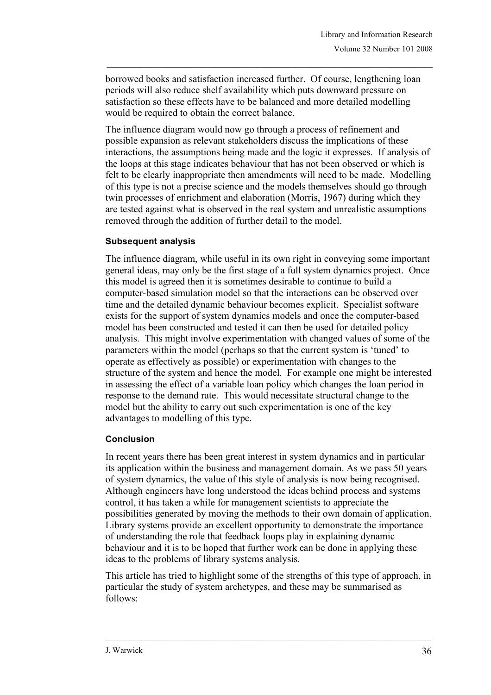borrowed books and satisfaction increased further. Of course, lengthening loan periods will also reduce shelf availability which puts downward pressure on satisfaction so these effects have to be balanced and more detailed modelling would be required to obtain the correct balance.

The influence diagram would now go through a process of refinement and possible expansion as relevant stakeholders discuss the implications of these interactions, the assumptions being made and the logic it expresses. If analysis of the loops at this stage indicates behaviour that has not been observed or which is felt to be clearly inappropriate then amendments will need to be made. Modelling of this type is not a precise science and the models themselves should go through twin processes of enrichment and elaboration (Morris, 1967) during which they are tested against what is observed in the real system and unrealistic assumptions removed through the addition of further detail to the model.

## **Subsequent analysis**

The influence diagram, while useful in its own right in conveying some important general ideas, may only be the first stage of a full system dynamics project. Once this model is agreed then it is sometimes desirable to continue to build a computer-based simulation model so that the interactions can be observed over time and the detailed dynamic behaviour becomes explicit. Specialist software exists for the support of system dynamics models and once the computer-based model has been constructed and tested it can then be used for detailed policy analysis. This might involve experimentation with changed values of some of the parameters within the model (perhaps so that the current system is 'tuned' to operate as effectively as possible) or experimentation with changes to the structure of the system and hence the model. For example one might be interested in assessing the effect of a variable loan policy which changes the loan period in response to the demand rate. This would necessitate structural change to the model but the ability to carry out such experimentation is one of the key advantages to modelling of this type.

### **Conclusion**

In recent years there has been great interest in system dynamics and in particular its application within the business and management domain. As we pass 50 years of system dynamics, the value of this style of analysis is now being recognised. Although engineers have long understood the ideas behind process and systems control, it has taken a while for management scientists to appreciate the possibilities generated by moving the methods to their own domain of application. Library systems provide an excellent opportunity to demonstrate the importance of understanding the role that feedback loops play in explaining dynamic behaviour and it is to be hoped that further work can be done in applying these ideas to the problems of library systems analysis.

This article has tried to highlight some of the strengths of this type of approach, in particular the study of system archetypes, and these may be summarised as follows: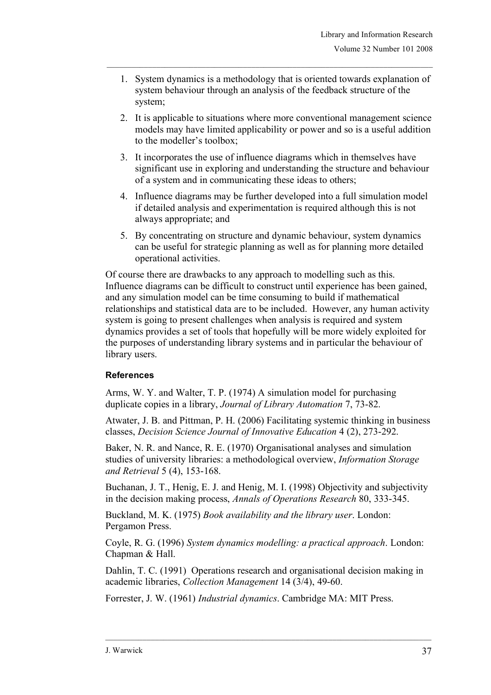- 1. System dynamics is a methodology that is oriented towards explanation of system behaviour through an analysis of the feedback structure of the system;
- 2. It is applicable to situations where more conventional management science models may have limited applicability or power and so is a useful addition to the modeller's toolbox;
- 3. It incorporates the use of influence diagrams which in themselves have significant use in exploring and understanding the structure and behaviour of a system and in communicating these ideas to others;
- 4. Influence diagrams may be further developed into a full simulation model if detailed analysis and experimentation is required although this is not always appropriate; and
- 5. By concentrating on structure and dynamic behaviour, system dynamics can be useful for strategic planning as well as for planning more detailed operational activities.

Of course there are drawbacks to any approach to modelling such as this. Influence diagrams can be difficult to construct until experience has been gained, and any simulation model can be time consuming to build if mathematical relationships and statistical data are to be included. However, any human activity system is going to present challenges when analysis is required and system dynamics provides a set of tools that hopefully will be more widely exploited for the purposes of understanding library systems and in particular the behaviour of library users.

# **References**

Arms, W. Y. and Walter, T. P. (1974) A simulation model for purchasing duplicate copies in a library, *Journal of Library Automation* 7, 73-82.

Atwater, J. B. and Pittman, P. H. (2006) Facilitating systemic thinking in business classes, *Decision Science Journal of Innovative Education* 4 (2), 273-292.

Baker, N. R. and Nance, R. E. (1970) Organisational analyses and simulation studies of university libraries: a methodological overview, *Information Storage and Retrieval* 5 (4), 153-168.

Buchanan, J. T., Henig, E. J. and Henig, M. I. (1998) Objectivity and subjectivity in the decision making process, *Annals of Operations Research* 80, 333-345.

Buckland, M. K. (1975) *Book availability and the library user*. London: Pergamon Press.

Coyle, R. G. (1996) *System dynamics modelling: a practical approach*. London: Chapman & Hall.

Dahlin, T. C. (1991) Operations research and organisational decision making in academic libraries, *Collection Management* 14 (3/4), 49-60.

Forrester, J. W. (1961) *Industrial dynamics*. Cambridge MA: MIT Press.